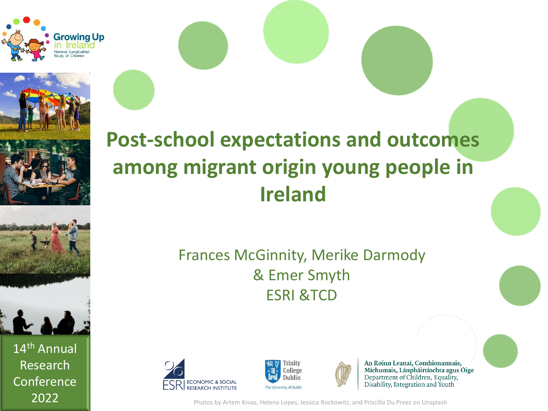





14th Annual Research **Conference** 

#### **Post-school expectations and outcomes among migrant origin young people in Ireland**

#### Frances McGinnity, Merike Darmody & Emer Smyth ESRI &TCD







An Roinn Leanaí, Comhionannais, Míchumais, Lánpháirtíochta agus Óige Department of Children, Equality, Disability, Integration and Youth

2022 **Photos by Artem Kniaz, Helena Lopes, Jessica Rockowitz, and Priscilla Du Preez on Unsplash**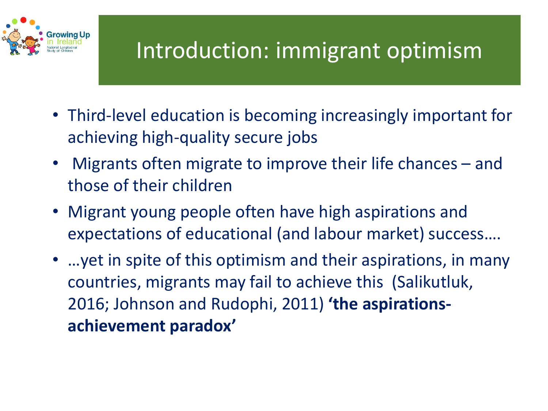

## Introduction: immigrant optimism

- Third-level education is becoming increasingly important for achieving high-quality secure jobs
- Migrants often migrate to improve their life chances and those of their children
- Migrant young people often have high aspirations and expectations of educational (and labour market) success….
- …yet in spite of this optimism and their aspirations, in many countries, migrants may fail to achieve this (Salikutluk, 2016; Johnson and Rudophi, 2011) **'the aspirationsachievement paradox'**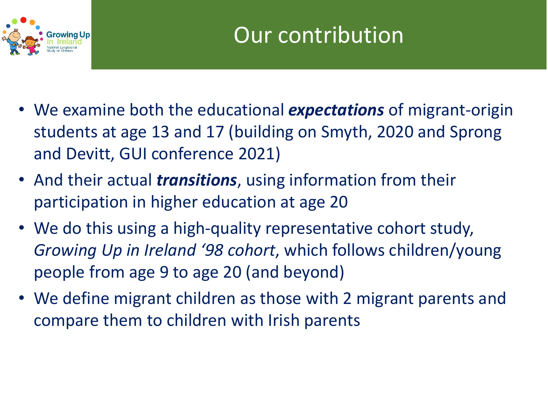

- We examine both the educational *expectations* of migrant-origin students at age 13 and 17 (building on Smyth, 2020 and Sprong and Devitt, GUI conference 2021)
- And their actual *transitions*, using information from their participation in higher education at age 20
- We do this using a high-quality representative cohort study, *Growing Up in Ireland '98 cohort*, which follows children/young people from age 9 to age 20 (and beyond)
- We define migrant children as those with 2 migrant parents and compare them to children with Irish parents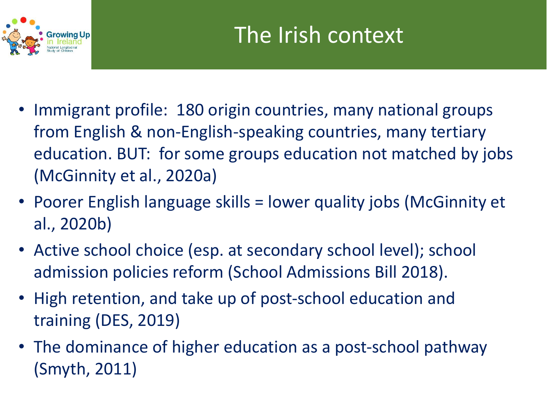

- Immigrant profile: 180 origin countries, many national groups from English & non-English-speaking countries, many tertiary education. BUT: for some groups education not matched by jobs (McGinnity et al., 2020a)
- Poorer English language skills = lower quality jobs (McGinnity et al., 2020b)
- Active school choice (esp. at secondary school level); school admission policies reform (School Admissions Bill 2018).
- High retention, and take up of post-school education and training (DES, 2019)
- The dominance of higher education as a post-school pathway (Smyth, 2011)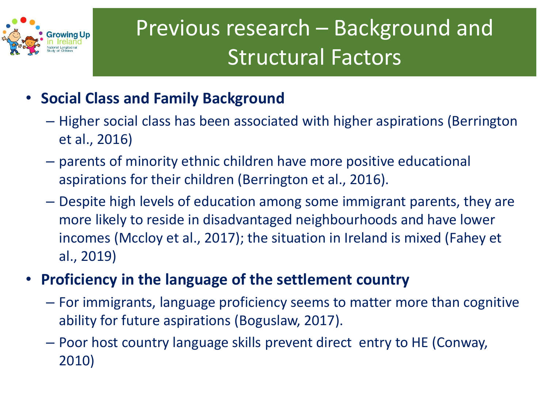

## Previous research – Background and Structural Factors

- **Social Class and Family Background**
	- Higher social class has been associated with higher aspirations (Berrington et al., 2016)
	- parents of minority ethnic children have more positive educational aspirations for their children (Berrington et al., 2016).
	- Despite high levels of education among some immigrant parents, they are more likely to reside in disadvantaged neighbourhoods and have lower incomes (Mccloy et al., 2017); the situation in Ireland is mixed (Fahey et al., 2019)
- **Proficiency in the language of the settlement country** 
	- For immigrants, language proficiency seems to matter more than cognitive ability for future aspirations (Boguslaw, 2017).
	- Poor host country language skills prevent direct entry to HE (Conway, 2010)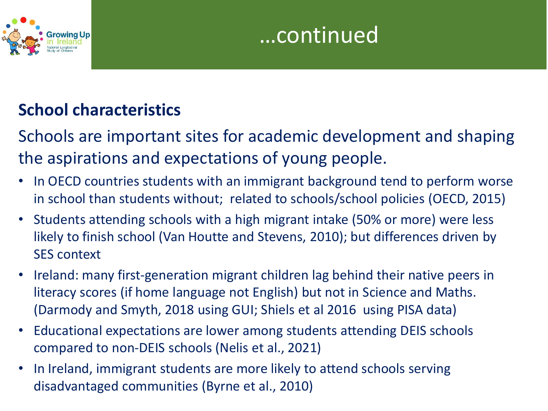



#### **School characteristics**

Schools are important sites for academic development and shaping the aspirations and expectations of young people.

- In OECD countries students with an immigrant background tend to perform worse in school than students without; related to schools/school policies (OECD, 2015)
- Students attending schools with a high migrant intake (50% or more) were less likely to finish school (Van Houtte and Stevens, 2010); but differences driven by SES context
- Ireland: many first-generation migrant children lag behind their native peers in literacy scores (if home language not English) but not in Science and Maths. (Darmody and Smyth, 2018 using GUI; Shiels et al 2016 using PISA data)
- Educational expectations are lower among students attending DEIS schools compared to non-DEIS schools (Nelis et al., 2021)
- In Ireland, immigrant students are more likely to attend schools serving disadvantaged communities (Byrne et al., 2010)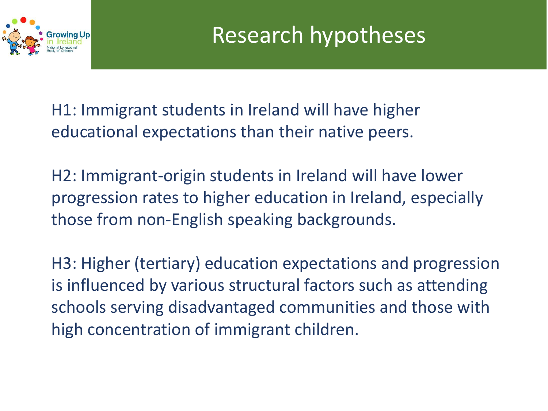

H1: Immigrant students in Ireland will have higher educational expectations than their native peers.

H2: Immigrant-origin students in Ireland will have lower progression rates to higher education in Ireland, especially those from non-English speaking backgrounds.

H3: Higher (tertiary) education expectations and progression is influenced by various structural factors such as attending schools serving disadvantaged communities and those with high concentration of immigrant children.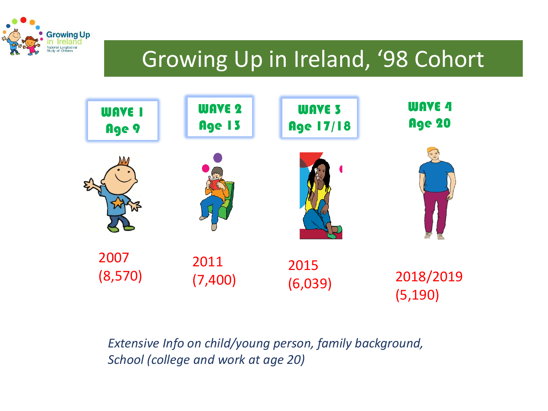

## Growing Up in Ireland, '98 Cohort



#### *Extensive Info on child/young person, family background, School (college and work at age 20)*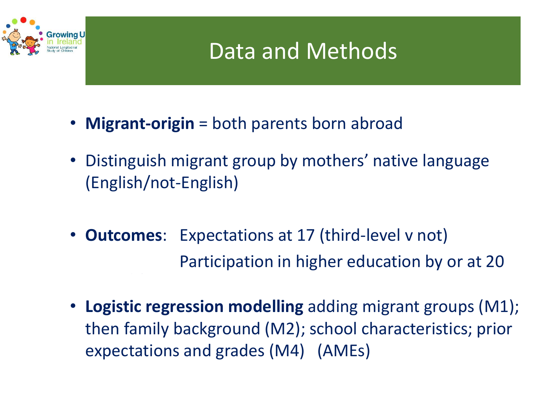

### Data and Methods

- **Migrant-origin** = both parents born abroad
- Distinguish migrant group by mothers' native language (English/not-English)
- **Outcomes**: Expectations at 17 (third-level v not) Participation in higher education by or at 20
- **Logistic regression modelling** adding migrant groups (M1); then family background (M2); school characteristics; prior expectations and grades (M4) (AMEs)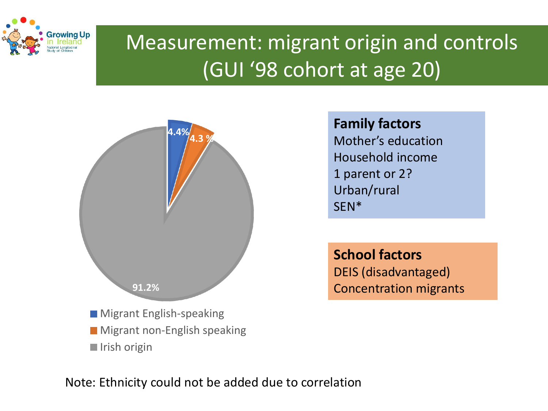

#### Measurement: migrant origin and controls (GUI '98 cohort at age 20)



**Family factors** Mother's education Household income 1 parent or 2? Urban/rural SEN\*

**School factors**  DEIS (disadvantaged) Concentration migrants

Note: Ethnicity could not be added due to correlation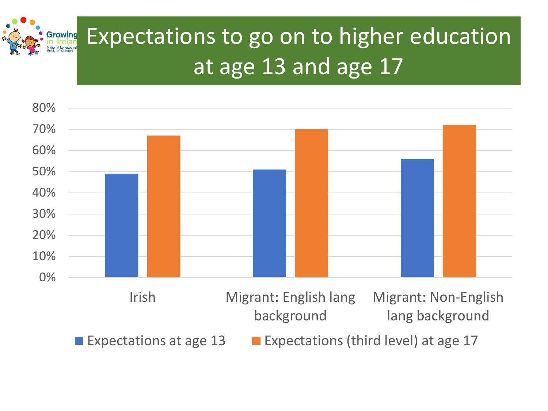

# Expectations to go on to higher education at age 13 and age 17

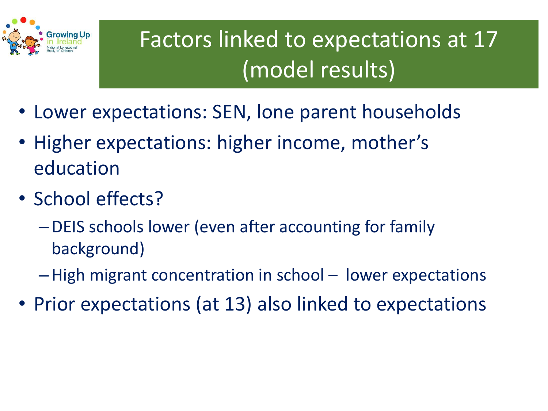

# Factors linked to expectations at 17 (model results)

- Lower expectations: SEN, lone parent households
- Higher expectations: higher income, mother's education
- School effects?
	- –DEIS schools lower (even after accounting for family background)
	- –High migrant concentration in school lower expectations
- Prior expectations (at 13) also linked to expectations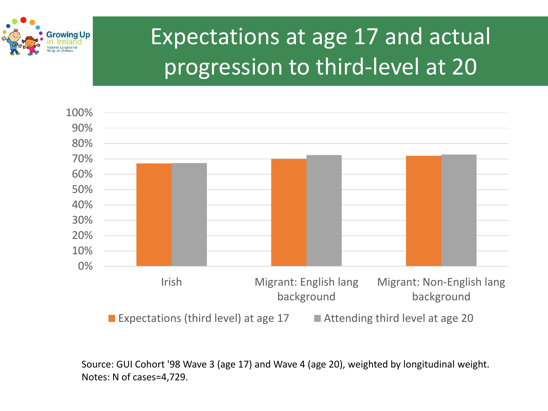

## Expectations at age 17 and actual progression to third-level at 20



Source: GUI Cohort '98 Wave 3 (age 17) and Wave 4 (age 20), weighted by longitudinal weight. Notes: N of cases=4,729.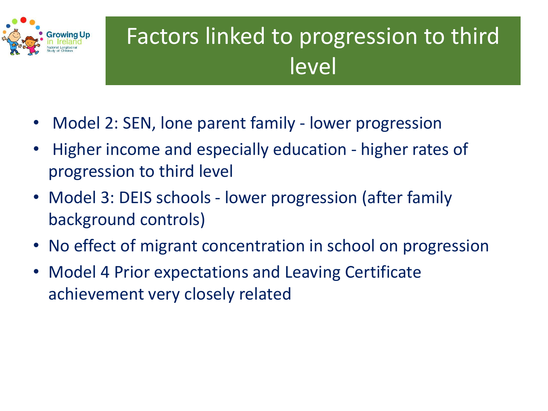

## Factors linked to progression to third level

- Model 2: SEN, lone parent family lower progression
- Higher income and especially education higher rates of progression to third level
- Model 3: DEIS schools lower progression (after family background controls)
- No effect of migrant concentration in school on progression
- Model 4 Prior expectations and Leaving Certificate achievement very closely related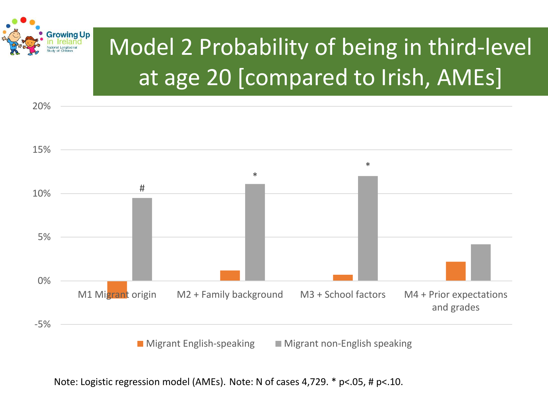

20%

# Model 2 Probability of being in third-level at age 20 [compared to Irish, AMEs]



Note: Logistic regression model (AMEs). Note: N of cases 4,729. \* p<.05, # p<.10.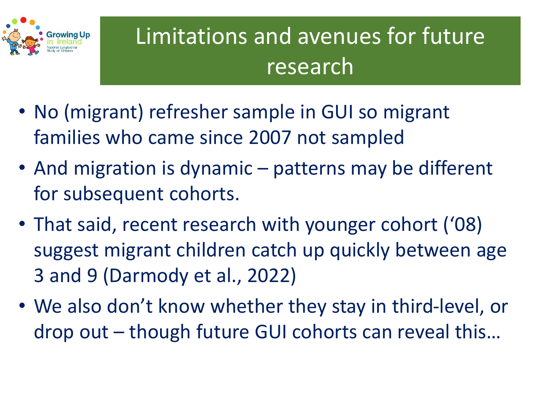

# Limitations and avenues for future research

- No (migrant) refresher sample in GUI so migrant families who came since 2007 not sampled
- And migration is dynamic patterns may be different for subsequent cohorts.
- That said, recent research with younger cohort ('08) suggest migrant children catch up quickly between age 3 and 9 (Darmody et al., 2022)
- We also don't know whether they stay in third-level, or drop out – though future GUI cohorts can reveal this…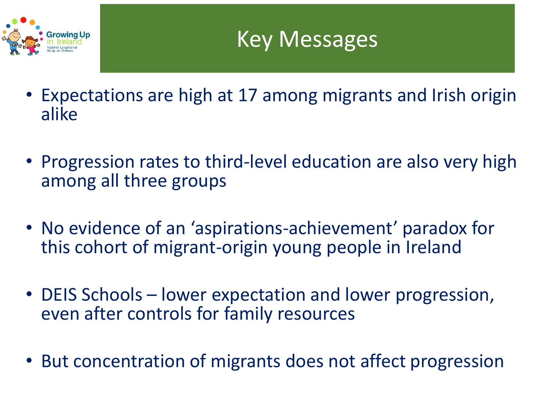

- Expectations are high at 17 among migrants and Irish origin alike
- Progression rates to third-level education are also very high among all three groups
- No evidence of an 'aspirations-achievement' paradox for this cohort of migrant-origin young people in Ireland
- DEIS Schools lower expectation and lower progression, even after controls for family resources
- But concentration of migrants does not affect progression